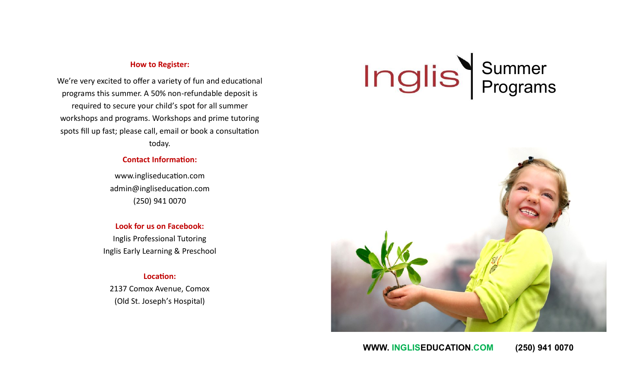# **How to Register:**

We're very excited to offer a variety of fun and educational programs this summer. A 50% non-refundable deposit is required to secure your child's spot for all summer workshops and programs. Workshops and prime tutoring spots fill up fast; please call, email or book a consultation today.

# **Contact Information:**

www.ingliseducation.com admin@ingliseducation.com (250) 941 0070

**Look for us on Facebook:** Inglis Professional Tutoring Inglis Early Learning & Preschool

# **Location:**

2137 Comox Avenue, Comox (Old St. Joseph's Hospital)